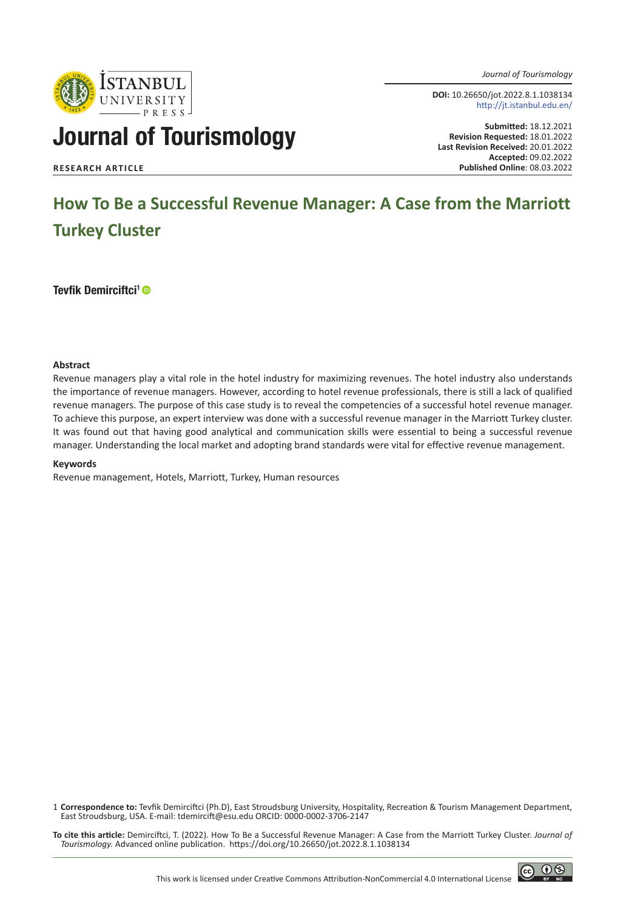*Journal of Tourismology*

**DOI:** 10.26650/jot.2022.8.1.1038134 http://jt.istanbul.edu.en/

# Journal of Tourismology

**Istanbul**<br>university

**Submitted:** 18.12.2021 **Revision Requested:** 18.01.2022 **Last Revision Received:** 20.01.2022 **Accepted:** 09.02.2022 **RESEARCH ARTICLE Published Online**: 08.03.2022

# **How To Be a Successful Revenue Manager: A Case from the Marriott Turkey Cluster**

Tevfik Demirciftci<sup>1</sup> ®

#### **Abstract**

Revenue managers play a vital role in the hotel industry for maximizing revenues. The hotel industry also understands the importance of revenue managers. However, according to hotel revenue professionals, there is still a lack of qualified revenue managers. The purpose of this case study is to reveal the competencies of a successful hotel revenue manager. To achieve this purpose, an expert interview was done with a successful revenue manager in the Marriott Turkey cluster. It was found out that having good analytical and communication skills were essential to being a successful revenue manager. Understanding the local market and adopting brand standards were vital for effective revenue management.

#### **Keywords**

Revenue management, Hotels, Marriott, Turkey, Human resources

1 **Correspondence to:** Tevfik Demirciftci (Ph.D), East Stroudsburg University, Hospitality, Recreation & Tourism Management Department, East Stroudsburg, USA. E-mail: [tdemircift@esu.edu](mailto:tdemircift@esu.edu) ORCID: 0000-0002-3706-2147

**To cite this article:** Demirciftci, T. (2022). How To Be a Successful Revenue Manager: A Case from the Marriott Turkey Cluster. *Journal of Tourismology.* Advanced online publication. https://doi.org/10.26650/jot.2022.8.1.1038134

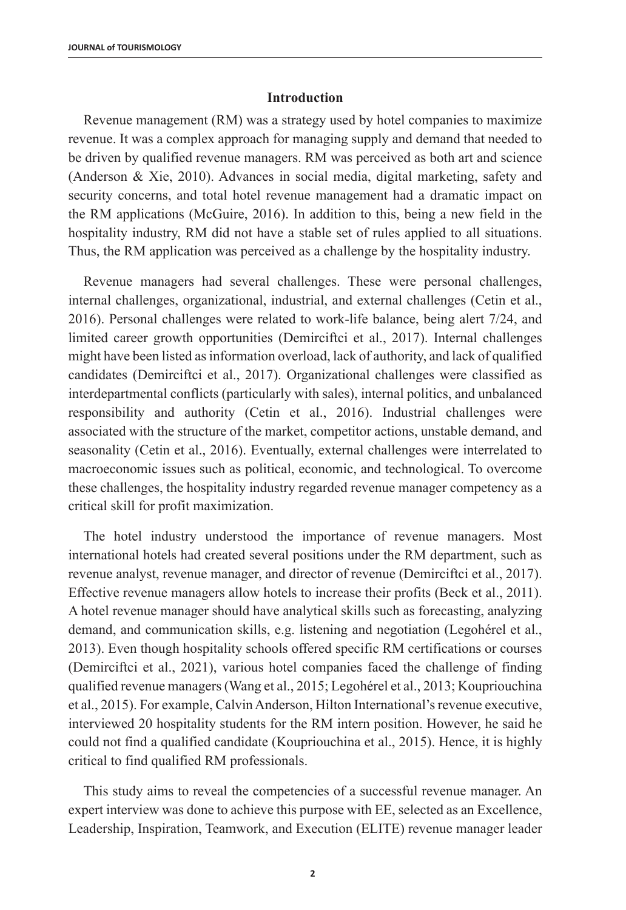### **Introduction**

Revenue management (RM) was a strategy used by hotel companies to maximize revenue. It was a complex approach for managing supply and demand that needed to be driven by qualified revenue managers. RM was perceived as both art and science (Anderson & Xie, 2010). Advances in social media, digital marketing, safety and security concerns, and total hotel revenue management had a dramatic impact on the RM applications (McGuire, 2016). In addition to this, being a new field in the hospitality industry, RM did not have a stable set of rules applied to all situations. Thus, the RM application was perceived as a challenge by the hospitality industry.

Revenue managers had several challenges. These were personal challenges, internal challenges, organizational, industrial, and external challenges (Cetin et al., 2016). Personal challenges were related to work-life balance, being alert 7/24, and limited career growth opportunities (Demirciftci et al., 2017). Internal challenges might have been listed as information overload, lack of authority, and lack of qualified candidates (Demirciftci et al., 2017). Organizational challenges were classified as interdepartmental conflicts (particularly with sales), internal politics, and unbalanced responsibility and authority (Cetin et al., 2016). Industrial challenges were associated with the structure of the market, competitor actions, unstable demand, and seasonality (Cetin et al., 2016). Eventually, external challenges were interrelated to macroeconomic issues such as political, economic, and technological. To overcome these challenges, the hospitality industry regarded revenue manager competency as a critical skill for profit maximization.

The hotel industry understood the importance of revenue managers. Most international hotels had created several positions under the RM department, such as revenue analyst, revenue manager, and director of revenue (Demirciftci et al., 2017). Effective revenue managers allow hotels to increase their profits (Beck et al., 2011). A hotel revenue manager should have analytical skills such as forecasting, analyzing demand, and communication skills, e.g. listening and negotiation (Legohérel et al., 2013). Even though hospitality schools offered specific RM certifications or courses (Demirciftci et al., 2021), various hotel companies faced the challenge of finding qualified revenue managers (Wang et al., 2015; Legohérel et al., 2013; Koupriouchina et al., 2015). For example, Calvin Anderson, Hilton International's revenue executive, interviewed 20 hospitality students for the RM intern position. However, he said he could not find a qualified candidate (Koupriouchina et al., 2015). Hence, it is highly critical to find qualified RM professionals.

This study aims to reveal the competencies of a successful revenue manager. An expert interview was done to achieve this purpose with EE, selected as an Excellence, Leadership, Inspiration, Teamwork, and Execution (ELITE) revenue manager leader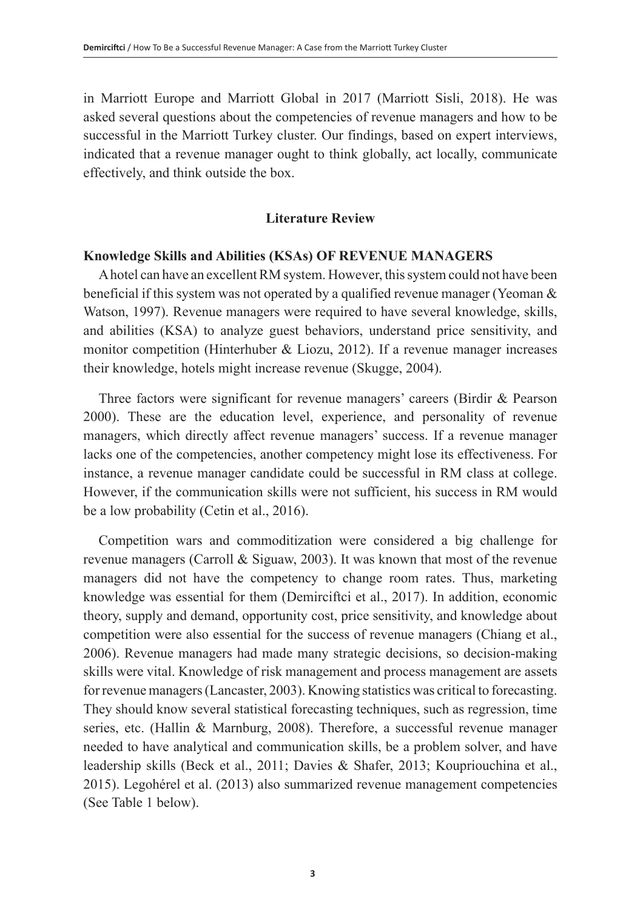in Marriott Europe and Marriott Global in 2017 (Marriott Sisli, 2018). He was asked several questions about the competencies of revenue managers and how to be successful in the Marriott Turkey cluster. Our findings, based on expert interviews, indicated that a revenue manager ought to think globally, act locally, communicate effectively, and think outside the box.

# **Literature Review**

# **Knowledge Skills and Abilities (KSAs) OF REVENUE MANAGERS**

A hotel can have an excellent RM system. However, this system could not have been beneficial if this system was not operated by a qualified revenue manager (Yeoman & Watson, 1997). Revenue managers were required to have several knowledge, skills, and abilities (KSA) to analyze guest behaviors, understand price sensitivity, and monitor competition (Hinterhuber & Liozu, 2012). If a revenue manager increases their knowledge, hotels might increase revenue (Skugge, 2004).

Three factors were significant for revenue managers' careers (Birdir & Pearson 2000). These are the education level, experience, and personality of revenue managers, which directly affect revenue managers' success. If a revenue manager lacks one of the competencies, another competency might lose its effectiveness. For instance, a revenue manager candidate could be successful in RM class at college. However, if the communication skills were not sufficient, his success in RM would be a low probability (Cetin et al., 2016).

Competition wars and commoditization were considered a big challenge for revenue managers (Carroll & Siguaw, 2003). It was known that most of the revenue managers did not have the competency to change room rates. Thus, marketing knowledge was essential for them (Demirciftci et al., 2017). In addition, economic theory, supply and demand, opportunity cost, price sensitivity, and knowledge about competition were also essential for the success of revenue managers (Chiang et al., 2006). Revenue managers had made many strategic decisions, so decision-making skills were vital. Knowledge of risk management and process management are assets for revenue managers (Lancaster, 2003). Knowing statistics was critical to forecasting. They should know several statistical forecasting techniques, such as regression, time series, etc. (Hallin & Marnburg, 2008). Therefore, a successful revenue manager needed to have analytical and communication skills, be a problem solver, and have leadership skills (Beck et al., 2011; Davies & Shafer, 2013; Koupriouchina et al., 2015). Legohérel et al. (2013) also summarized revenue management competencies (See Table 1 below).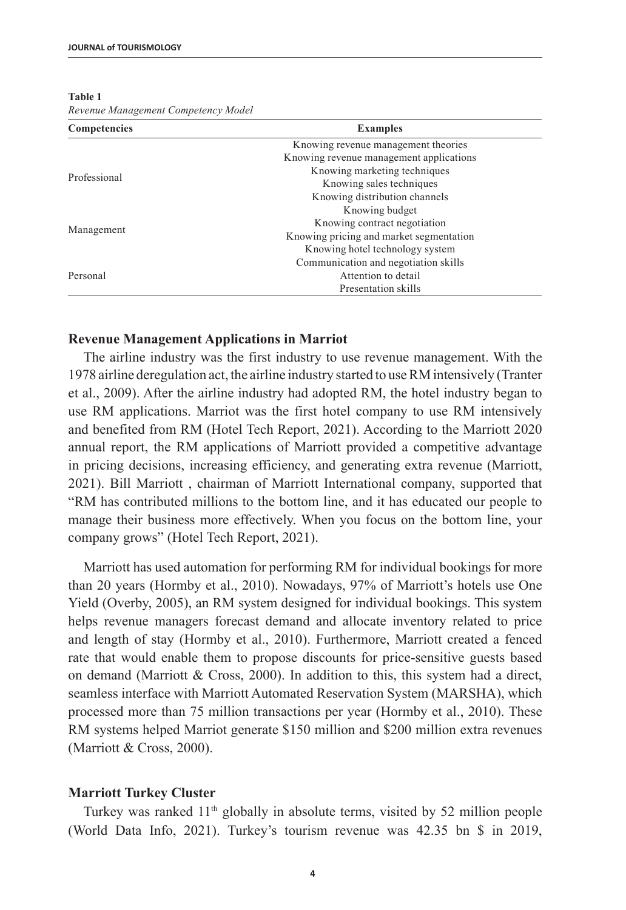| Competencies | <b>Examples</b>                         |  |
|--------------|-----------------------------------------|--|
|              | Knowing revenue management theories     |  |
|              | Knowing revenue management applications |  |
| Professional | Knowing marketing techniques            |  |
|              | Knowing sales techniques                |  |
|              | Knowing distribution channels           |  |
|              | Knowing budget                          |  |
|              | Knowing contract negotiation            |  |
| Management   | Knowing pricing and market segmentation |  |
|              | Knowing hotel technology system         |  |
|              | Communication and negotiation skills    |  |
| Personal     | Attention to detail                     |  |
|              | Presentation skills                     |  |

#### **Table 1**

*Revenue Management Competency Model*

# **Revenue Management Applications in Marriot**

The airline industry was the first industry to use revenue management. With the 1978 airline deregulation act, the airline industry started to use RM intensively (Tranter et al., 2009). After the airline industry had adopted RM, the hotel industry began to use RM applications. Marriot was the first hotel company to use RM intensively and benefited from RM (Hotel Tech Report, 2021). According to the Marriott 2020 annual report, the RM applications of Marriott provided a competitive advantage in pricing decisions, increasing efficiency, and generating extra revenue (Marriott, 2021). Bill Marriott , chairman of Marriott International company, supported that "RM has contributed millions to the bottom line, and it has educated our people to manage their business more effectively. When you focus on the bottom line, your company grows" (Hotel Tech Report, 2021).

Marriott has used automation for performing RM for individual bookings for more than 20 years (Hormby et al., 2010). Nowadays, 97% of Marriott's hotels use One Yield (Overby, 2005), an RM system designed for individual bookings. This system helps revenue managers forecast demand and allocate inventory related to price and length of stay (Hormby et al., 2010). Furthermore, Marriott created a fenced rate that would enable them to propose discounts for price-sensitive guests based on demand (Marriott & Cross, 2000). In addition to this, this system had a direct, seamless interface with Marriott Automated Reservation System (MARSHA), which processed more than 75 million transactions per year (Hormby et al., 2010). These RM systems helped Marriot generate \$150 million and \$200 million extra revenues (Marriott & Cross, 2000).

#### **Marriott Turkey Cluster**

Turkey was ranked 11<sup>th</sup> globally in absolute terms, visited by 52 million people (World Data Info, 2021). Turkey's tourism revenue was 42.35 bn \$ in 2019,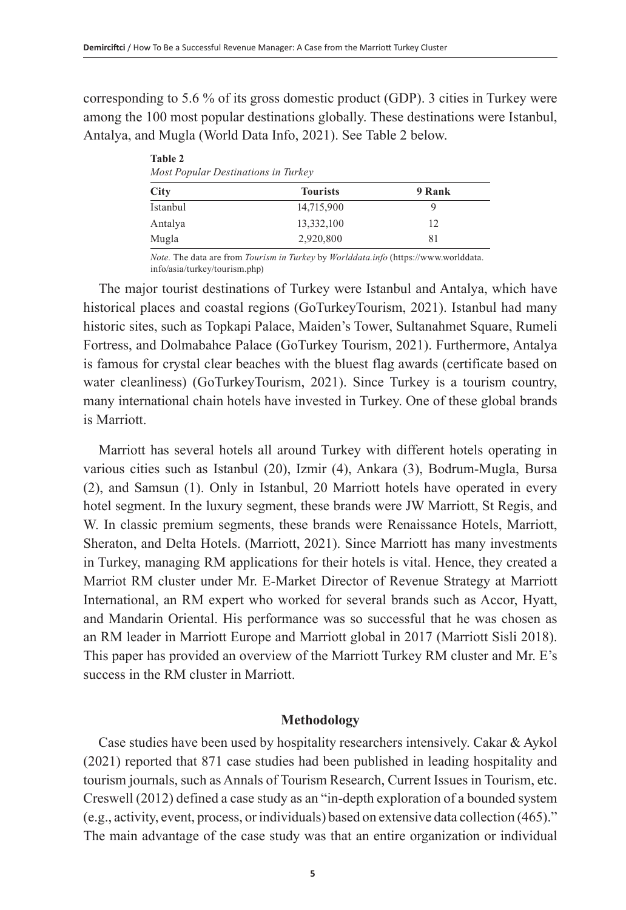corresponding to 5.6 % of its gross domestic product (GDP). 3 cities in Turkey were among the 100 most popular destinations globally. These destinations were Istanbul, Antalya, and Mugla (World Data Info, 2021). See Table 2 below.

| <b>Table 2</b><br>Most Popular Destinations in Turkey |                 |        |  |
|-------------------------------------------------------|-----------------|--------|--|
| City                                                  | <b>Tourists</b> | 9 Rank |  |
| Istanbul                                              | 14,715,900      | 9      |  |
| Antalya                                               | 13,332,100      | 12     |  |
| Mugla                                                 | 2,920,800       | 81     |  |

*Note.* The data are from *Tourism in Turkey* by *Worlddata.info* (https://www.worlddata. info/asia/turkey/tourism.php)

The major tourist destinations of Turkey were Istanbul and Antalya, which have historical places and coastal regions (GoTurkeyTourism, 2021). Istanbul had many historic sites, such as Topkapi Palace, Maiden's Tower, Sultanahmet Square, Rumeli Fortress, and Dolmabahce Palace (GoTurkey Tourism, 2021). Furthermore, Antalya is famous for crystal clear beaches with the bluest flag awards (certificate based on water cleanliness) (GoTurkeyTourism, 2021). Since Turkey is a tourism country, many international chain hotels have invested in Turkey. One of these global brands is Marriott.

Marriott has several hotels all around Turkey with different hotels operating in various cities such as Istanbul (20), Izmir (4), Ankara (3), Bodrum-Mugla, Bursa (2), and Samsun (1). Only in Istanbul, 20 Marriott hotels have operated in every hotel segment. In the luxury segment, these brands were JW Marriott, St Regis, and W. In classic premium segments, these brands were Renaissance Hotels, Marriott, Sheraton, and Delta Hotels. (Marriott, 2021). Since Marriott has many investments in Turkey, managing RM applications for their hotels is vital. Hence, they created a Marriot RM cluster under Mr. E-Market Director of Revenue Strategy at Marriott International, an RM expert who worked for several brands such as Accor, Hyatt, and Mandarin Oriental. His performance was so successful that he was chosen as an RM leader in Marriott Europe and Marriott global in 2017 (Marriott Sisli 2018). This paper has provided an overview of the Marriott Turkey RM cluster and Mr. E's success in the RM cluster in Marriott.

# **Methodology**

Case studies have been used by hospitality researchers intensively. Cakar & Aykol (2021) reported that 871 case studies had been published in leading hospitality and tourism journals, such as Annals of Tourism Research, Current Issues in Tourism, etc. Creswell (2012) defined a case study as an "in-depth exploration of a bounded system (e.g., activity, event, process, or individuals) based on extensive data collection (465)." The main advantage of the case study was that an entire organization or individual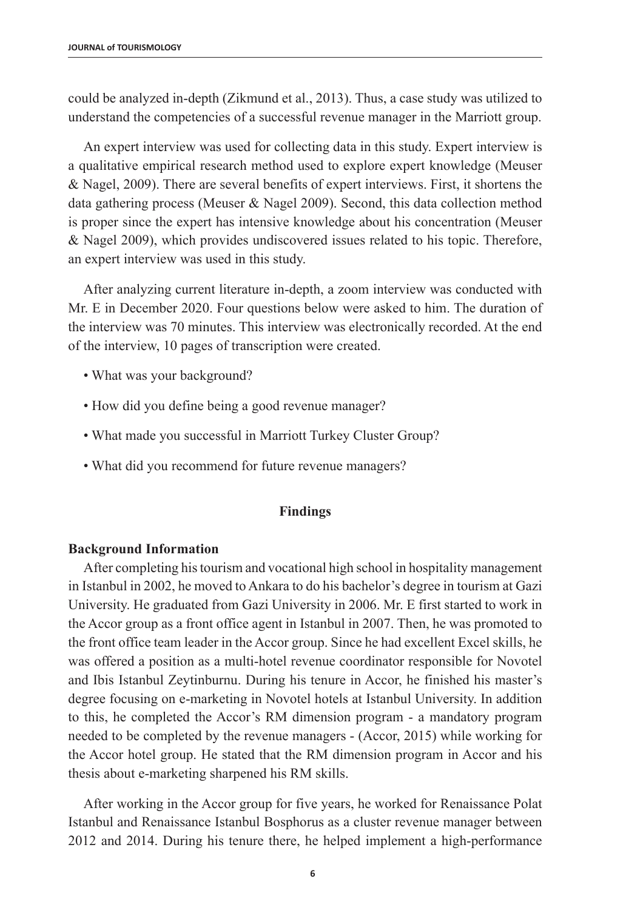could be analyzed in-depth (Zikmund et al., 2013). Thus, a case study was utilized to understand the competencies of a successful revenue manager in the Marriott group.

An expert interview was used for collecting data in this study. Expert interview is a qualitative empirical research method used to explore expert knowledge (Meuser  $\&$  Nagel, 2009). There are several benefits of expert interviews. First, it shortens the data gathering process (Meuser & Nagel 2009). Second, this data collection method is proper since the expert has intensive knowledge about his concentration (Meuser & Nagel 2009), which provides undiscovered issues related to his topic. Therefore, an expert interview was used in this study.

After analyzing current literature in-depth, a zoom interview was conducted with Mr. E in December 2020. Four questions below were asked to him. The duration of the interview was 70 minutes. This interview was electronically recorded. At the end of the interview, 10 pages of transcription were created.

- What was your background?
- How did you define being a good revenue manager?
- What made you successful in Marriott Turkey Cluster Group?
- What did you recommend for future revenue managers?

# **Findings**

# **Background Information**

After completing his tourism and vocational high school in hospitality management in Istanbul in 2002, he moved to Ankara to do his bachelor's degree in tourism at Gazi University. He graduated from Gazi University in 2006. Mr. E first started to work in the Accor group as a front office agent in Istanbul in 2007. Then, he was promoted to the front office team leader in the Accor group. Since he had excellent Excel skills, he was offered a position as a multi-hotel revenue coordinator responsible for Novotel and Ibis Istanbul Zeytinburnu. During his tenure in Accor, he finished his master's degree focusing on e-marketing in Novotel hotels at Istanbul University. In addition to this, he completed the Accor's RM dimension program - a mandatory program needed to be completed by the revenue managers - (Accor, 2015) while working for the Accor hotel group. He stated that the RM dimension program in Accor and his thesis about e-marketing sharpened his RM skills.

After working in the Accor group for five years, he worked for Renaissance Polat Istanbul and Renaissance Istanbul Bosphorus as a cluster revenue manager between 2012 and 2014. During his tenure there, he helped implement a high-performance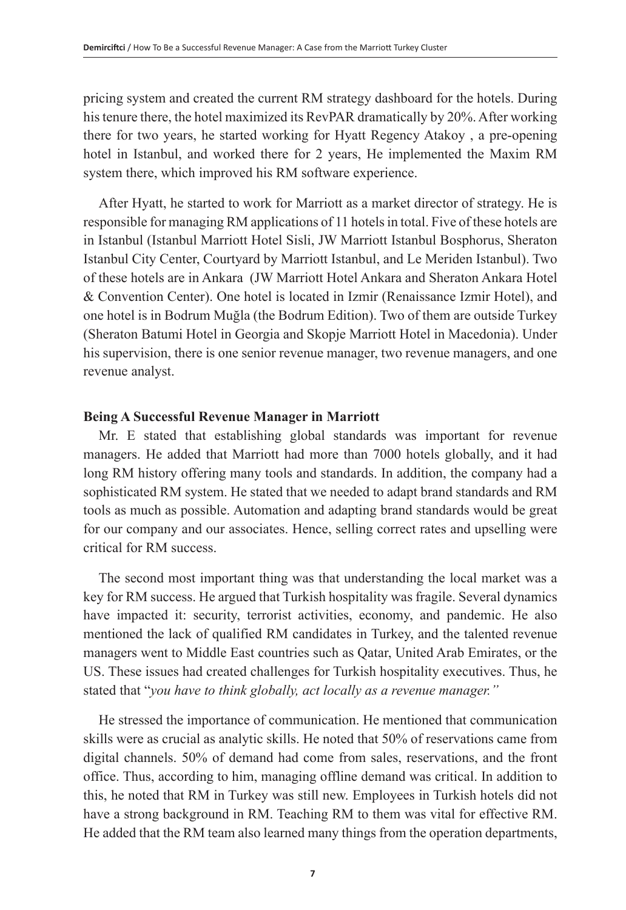pricing system and created the current RM strategy dashboard for the hotels. During his tenure there, the hotel maximized its RevPAR dramatically by 20%. After working there for two years, he started working for Hyatt Regency Atakoy , a pre-opening hotel in Istanbul, and worked there for 2 years, He implemented the Maxim RM system there, which improved his RM software experience.

After Hyatt, he started to work for Marriott as a market director of strategy. He is responsible for managing RM applications of 11 hotels in total. Five of these hotels are in Istanbul (Istanbul Marriott Hotel Sisli, JW Marriott Istanbul Bosphorus, Sheraton Istanbul City Center, Courtyard by Marriott Istanbul, and Le Meriden Istanbul). Two of these hotels are in Ankara (JW Marriott Hotel Ankara and Sheraton Ankara Hotel & Convention Center). One hotel is located in Izmir (Renaissance Izmir Hotel), and one hotel is in Bodrum Muğla (the Bodrum Edition). Two of them are outside Turkey (Sheraton Batumi Hotel in Georgia and Skopje Marriott Hotel in Macedonia). Under his supervision, there is one senior revenue manager, two revenue managers, and one revenue analyst.

# **Being A Successful Revenue Manager in Marriott**

Mr. E stated that establishing global standards was important for revenue managers. He added that Marriott had more than 7000 hotels globally, and it had long RM history offering many tools and standards. In addition, the company had a sophisticated RM system. He stated that we needed to adapt brand standards and RM tools as much as possible. Automation and adapting brand standards would be great for our company and our associates. Hence, selling correct rates and upselling were critical for RM success.

The second most important thing was that understanding the local market was a key for RM success. He argued that Turkish hospitality was fragile. Several dynamics have impacted it: security, terrorist activities, economy, and pandemic. He also mentioned the lack of qualified RM candidates in Turkey, and the talented revenue managers went to Middle East countries such as Qatar, United Arab Emirates, or the US. These issues had created challenges for Turkish hospitality executives. Thus, he stated that "*you have to think globally, act locally as a revenue manager."* 

He stressed the importance of communication. He mentioned that communication skills were as crucial as analytic skills. He noted that 50% of reservations came from digital channels. 50% of demand had come from sales, reservations, and the front office. Thus, according to him, managing offline demand was critical. In addition to this, he noted that RM in Turkey was still new. Employees in Turkish hotels did not have a strong background in RM. Teaching RM to them was vital for effective RM. He added that the RM team also learned many things from the operation departments,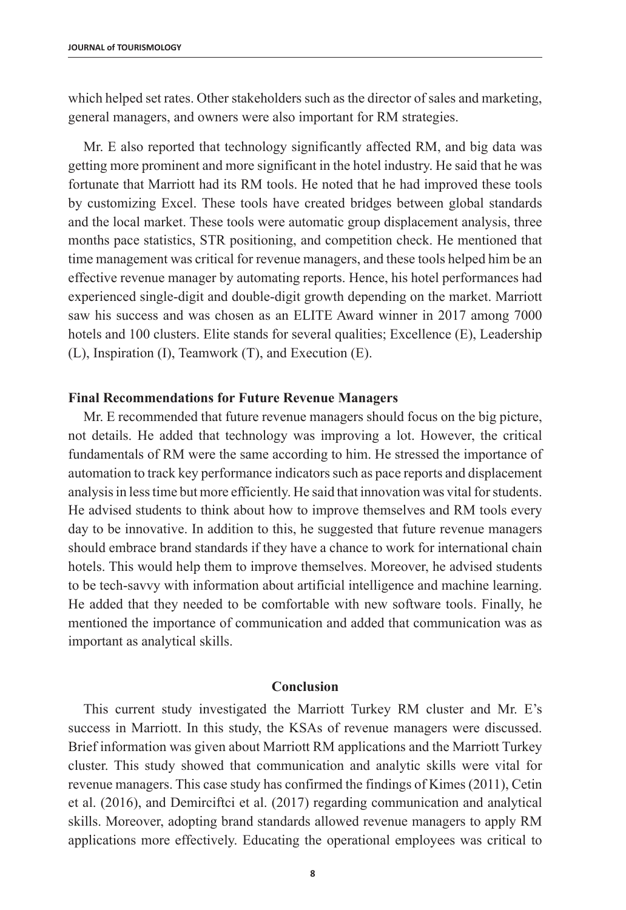which helped set rates. Other stakeholders such as the director of sales and marketing, general managers, and owners were also important for RM strategies.

Mr. E also reported that technology significantly affected RM, and big data was getting more prominent and more significant in the hotel industry. He said that he was fortunate that Marriott had its RM tools. He noted that he had improved these tools by customizing Excel. These tools have created bridges between global standards and the local market. These tools were automatic group displacement analysis, three months pace statistics, STR positioning, and competition check. He mentioned that time management was critical for revenue managers, and these tools helped him be an effective revenue manager by automating reports. Hence, his hotel performances had experienced single-digit and double-digit growth depending on the market. Marriott saw his success and was chosen as an ELITE Award winner in 2017 among 7000 hotels and 100 clusters. Elite stands for several qualities; Excellence (E), Leadership (L), Inspiration (I), Teamwork (T), and Execution (E).

# **Final Recommendations for Future Revenue Managers**

Mr. E recommended that future revenue managers should focus on the big picture, not details. He added that technology was improving a lot. However, the critical fundamentals of RM were the same according to him. He stressed the importance of automation to track key performance indicators such as pace reports and displacement analysis in less time but more efficiently. He said that innovation was vital for students. He advised students to think about how to improve themselves and RM tools every day to be innovative. In addition to this, he suggested that future revenue managers should embrace brand standards if they have a chance to work for international chain hotels. This would help them to improve themselves. Moreover, he advised students to be tech-savvy with information about artificial intelligence and machine learning. He added that they needed to be comfortable with new software tools. Finally, he mentioned the importance of communication and added that communication was as important as analytical skills.

# **Conclusion**

This current study investigated the Marriott Turkey RM cluster and Mr. E's success in Marriott. In this study, the KSAs of revenue managers were discussed. Brief information was given about Marriott RM applications and the Marriott Turkey cluster. This study showed that communication and analytic skills were vital for revenue managers. This case study has confirmed the findings of Kimes (2011), Cetin et al. (2016), and Demirciftci et al. (2017) regarding communication and analytical skills. Moreover, adopting brand standards allowed revenue managers to apply RM applications more effectively. Educating the operational employees was critical to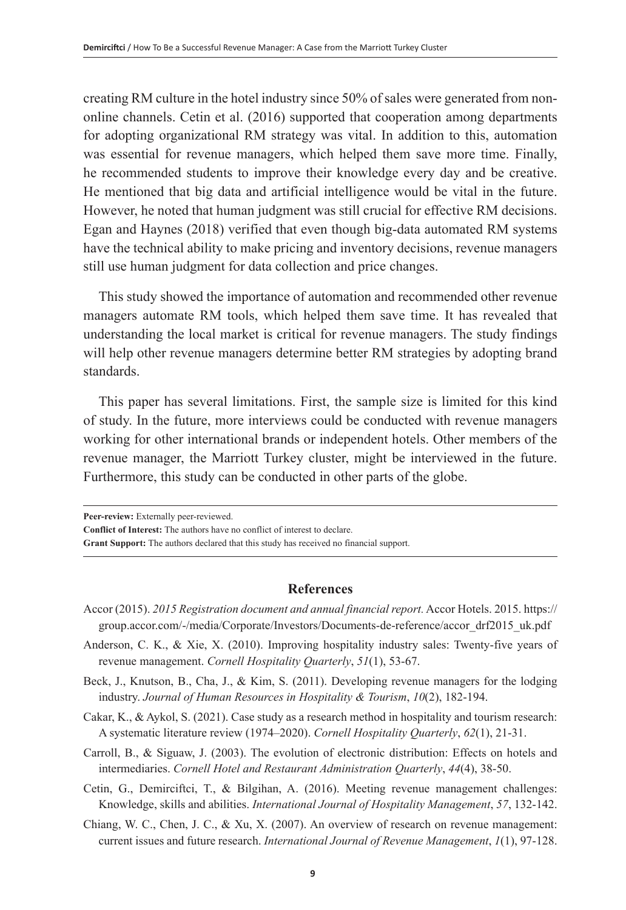creating RM culture in the hotel industry since 50% of sales were generated from nononline channels. Cetin et al. (2016) supported that cooperation among departments for adopting organizational RM strategy was vital. In addition to this, automation was essential for revenue managers, which helped them save more time. Finally, he recommended students to improve their knowledge every day and be creative. He mentioned that big data and artificial intelligence would be vital in the future. However, he noted that human judgment was still crucial for effective RM decisions. Egan and Haynes (2018) verified that even though big-data automated RM systems have the technical ability to make pricing and inventory decisions, revenue managers still use human judgment for data collection and price changes.

This study showed the importance of automation and recommended other revenue managers automate RM tools, which helped them save time. It has revealed that understanding the local market is critical for revenue managers. The study findings will help other revenue managers determine better RM strategies by adopting brand standards.

This paper has several limitations. First, the sample size is limited for this kind of study. In the future, more interviews could be conducted with revenue managers working for other international brands or independent hotels. Other members of the revenue manager, the Marriott Turkey cluster, might be interviewed in the future. Furthermore, this study can be conducted in other parts of the globe.

**Peer-review:** Externally peer-reviewed.

**Conflict of Interest:** The authors have no conflict of interest to declare.

**Grant Support:** The authors declared that this study has received no financial support.

# **References**

- Accor (2015). *2015 Registration document and annual financial report.* Accor Hotels. 2015. [https://](https://group.accor.com/-/media/Corporate/Investors/Documents-de-reference/accor_drf2015_uk.pdf) [group.accor.com/-/media/Corporate/Investors/Documents-de-reference/accor\\_drf2015\\_uk.pdf](https://group.accor.com/-/media/Corporate/Investors/Documents-de-reference/accor_drf2015_uk.pdf)
- Anderson, C. K., & Xie, X. (2010). Improving hospitality industry sales: Twenty-five years of revenue management. *Cornell Hospitality Quarterly*, *51*(1), 53-67.
- Beck, J., Knutson, B., Cha, J., & Kim, S. (2011). Developing revenue managers for the lodging industry. *Journal of Human Resources in Hospitality & Tourism*, *10*(2), 182-194.
- Cakar, K., & Aykol, S. (2021). Case study as a research method in hospitality and tourism research: A systematic literature review (1974–2020). *Cornell Hospitality Quarterly*, *62*(1), 21-31.
- Carroll, B., & Siguaw, J. (2003). The evolution of electronic distribution: Effects on hotels and intermediaries. *Cornell Hotel and Restaurant Administration Quarterly*, *44*(4), 38-50.
- Cetin, G., Demirciftci, T., & Bilgihan, A. (2016). Meeting revenue management challenges: Knowledge, skills and abilities. *International Journal of Hospitality Management*, *57*, 132-142.
- Chiang, W. C., Chen, J. C., & Xu, X. (2007). An overview of research on revenue management: current issues and future research. *International Journal of Revenue Management*, *1*(1), 97-128.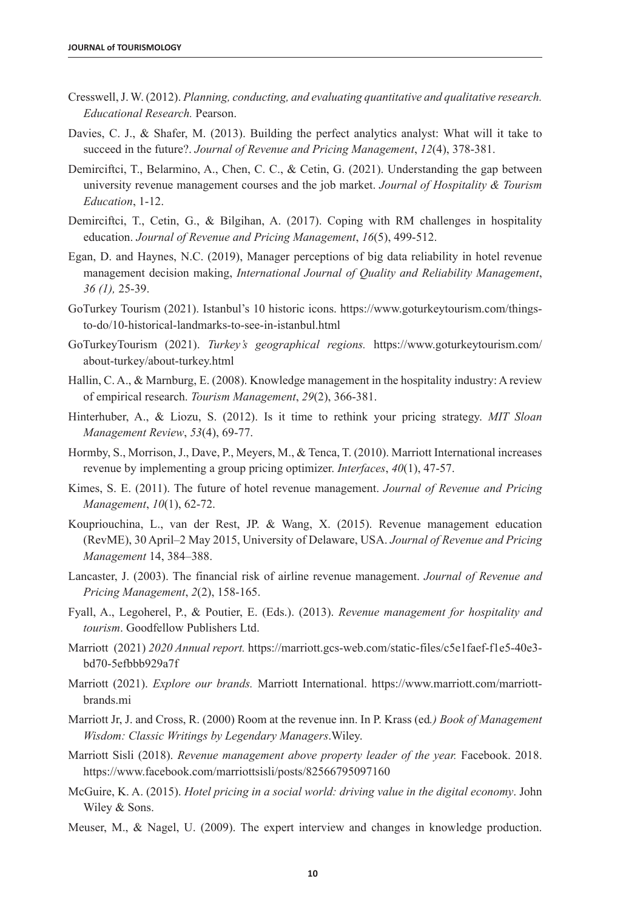- Cresswell, J. W. (2012). *Planning, conducting, and evaluating quantitative and qualitative research. Educational Research.* Pearson.
- Davies, C. J., & Shafer, M. (2013). Building the perfect analytics analyst: What will it take to succeed in the future?. *Journal of Revenue and Pricing Management*, *12*(4), 378-381.
- Demirciftci, T., Belarmino, A., Chen, C. C., & Cetin, G. (2021). Understanding the gap between university revenue management courses and the job market. *Journal of Hospitality & Tourism Education*, 1-12.
- Demirciftci, T., Cetin, G., & Bilgihan, A. (2017). Coping with RM challenges in hospitality education. *Journal of Revenue and Pricing Management*, *16*(5), 499-512.
- [Egan, D.](https://www.emerald.com/insight/search?q=David%20Egan) and [Haynes, N.C.](https://www.emerald.com/insight/search?q=Natalie%20Claire%20Haynes) (2019), Manager perceptions of big data reliability in hotel revenue management decision making, *International Journal of Quality and Reliability Management*, *36 (1),* 25-39.
- GoTurkey Tourism (2021). Istanbul's 10 historic icons. [https://www.goturkeytourism.com/things](https://www.goturkeytourism.com/things-to-do/10-historical-landmarks-to-see-in-istanbul.html)[to-do/10-historical-landmarks-to-see-in-istanbul.html](https://www.goturkeytourism.com/things-to-do/10-historical-landmarks-to-see-in-istanbul.html)
- GoTurkeyTourism (2021). *Turkey's geographical regions.* [https://www.goturkeytourism.com/](https://www.goturkeytourism.com/about-turkey/about-turkey.html) [about-turkey/about-turkey.html](https://www.goturkeytourism.com/about-turkey/about-turkey.html)
- Hallin, C. A., & Marnburg, E. (2008). Knowledge management in the hospitality industry: A review of empirical research. *Tourism Management*, *29*(2), 366-381.
- Hinterhuber, A., & Liozu, S. (2012). Is it time to rethink your pricing strategy. *MIT Sloan Management Review*, *53*(4), 69-77.
- Hormby, S., Morrison, J., Dave, P., Meyers, M., & Tenca, T. (2010). Marriott International increases revenue by implementing a group pricing optimizer. *Interfaces*, *40*(1), 47-57.
- Kimes, S. E. (2011). The future of hotel revenue management. *Journal of Revenue and Pricing Management*, *10*(1), 62-72.
- Koupriouchina, L., van der Rest, JP. & Wang, X. (2015). Revenue management education (RevME), 30 April–2 May 2015, University of Delaware, USA. *Journal of Revenue and Pricing Management* 14, 384–388.
- Lancaster, J. (2003). The financial risk of airline revenue management. *Journal of Revenue and Pricing Management*, *2*(2), 158-165.
- Fyall, A., Legoherel, P., & Poutier, E. (Eds.). (2013). *Revenue management for hospitality and tourism*. Goodfellow Publishers Ltd.
- Marriott (2021) *2020 Annual report.* [https://marriott.gcs-web.com/static-files/c5e1faef-f1e5-40e3](https://marriott.gcs-web.com/static-files/c5e1faef-f1e5-40e3-bd70-5efbbb929a7f) [bd70-5efbbb929a7f](https://marriott.gcs-web.com/static-files/c5e1faef-f1e5-40e3-bd70-5efbbb929a7f)
- Marriott (2021). *Explore our brands.* Marriott International. [https://www.marriott.com/marriott](https://www.marriott.com/marriott-brands.mi)[brands.mi](https://www.marriott.com/marriott-brands.mi)
- Marriott Jr, J. and Cross, R. (2000) Room at the revenue inn. In P. Krass (ed*.) Book of Management Wisdom: Classic Writings by Legendary Managers*.Wiley.
- Marriott Sisli (2018). *Revenue management above property leader of the year.* Facebook. 2018. <https://www.facebook.com/marriottsisli/posts/82566795097160>
- McGuire, K. A. (2015). *Hotel pricing in a social world: driving value in the digital economy*. John Wiley & Sons.
- Meuser, M., & Nagel, U. (2009). The expert interview and changes in knowledge production.